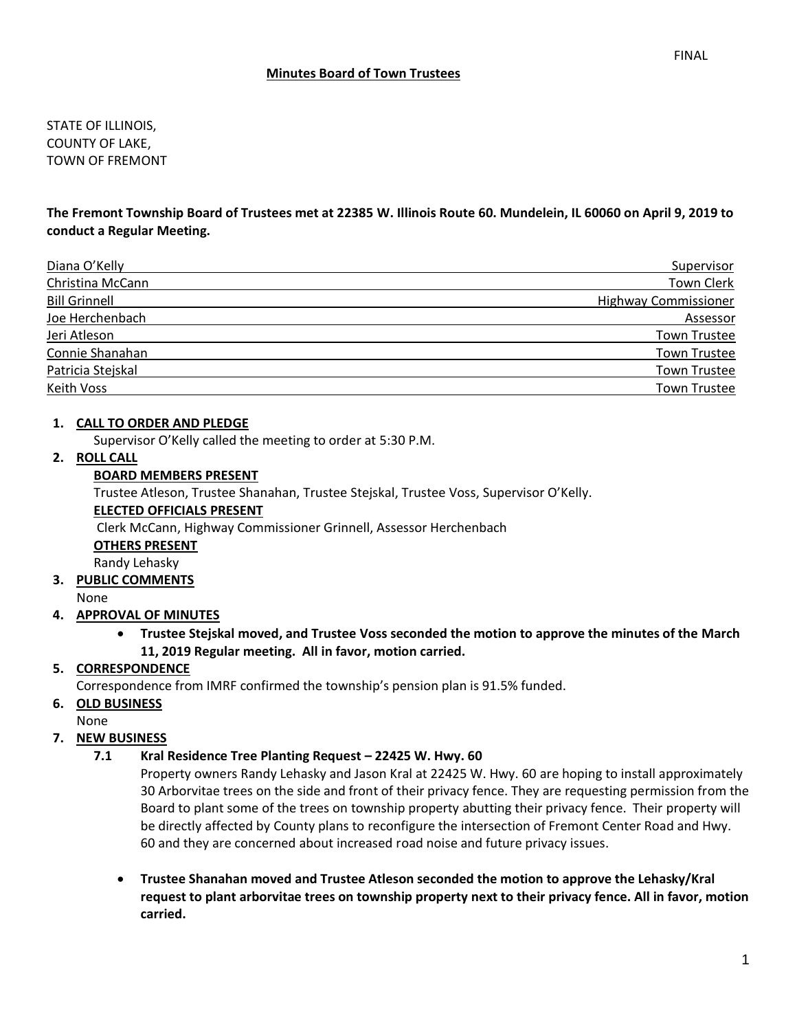STATE OF ILLINOIS, COUNTY OF LAKE, TOWN OF FREMONT

**The Fremont Township Board of Trustees met at 22385 W. Illinois Route 60. Mundelein, IL 60060 on April 9, 2019 to conduct a Regular Meeting.**

| Diana O'Kelly        | Supervisor                  |
|----------------------|-----------------------------|
| Christina McCann     | Town Clerk                  |
| <b>Bill Grinnell</b> | <b>Highway Commissioner</b> |
| Joe Herchenbach      | Assessor                    |
| Jeri Atleson         | <b>Town Trustee</b>         |
| Connie Shanahan      | Town Trustee                |
| Patricia Stejskal    | <b>Town Trustee</b>         |
| Keith Voss           | <b>Town Trustee</b>         |

## **1. CALL TO ORDER AND PLEDGE**

Supervisor O'Kelly called the meeting to order at 5:30 P.M.

#### **2. ROLL CALL**

## **BOARD MEMBERS PRESENT**

Trustee Atleson, Trustee Shanahan, Trustee Stejskal, Trustee Voss, Supervisor O'Kelly.

#### **ELECTED OFFICIALS PRESENT**

Clerk McCann, Highway Commissioner Grinnell, Assessor Herchenbach

#### **OTHERS PRESENT**

Randy Lehasky

# **3. PUBLIC COMMENTS**

None

#### **4. APPROVAL OF MINUTES**

• **Trustee Stejskal moved, and Trustee Voss seconded the motion to approve the minutes of the March 11, 2019 Regular meeting. All in favor, motion carried.** 

# **5. CORRESPONDENCE**

Correspondence from IMRF confirmed the township's pension plan is 91.5% funded.

#### **6. OLD BUSINESS**

None

# **7. NEW BUSINESS**

#### **7.1 Kral Residence Tree Planting Request – 22425 W. Hwy. 60**

Property owners Randy Lehasky and Jason Kral at 22425 W. Hwy. 60 are hoping to install approximately 30 Arborvitae trees on the side and front of their privacy fence. They are requesting permission from the Board to plant some of the trees on township property abutting their privacy fence. Their property will be directly affected by County plans to reconfigure the intersection of Fremont Center Road and Hwy. 60 and they are concerned about increased road noise and future privacy issues.

• **Trustee Shanahan moved and Trustee Atleson seconded the motion to approve the Lehasky/Kral request to plant arborvitae trees on township property next to their privacy fence. All in favor, motion carried.**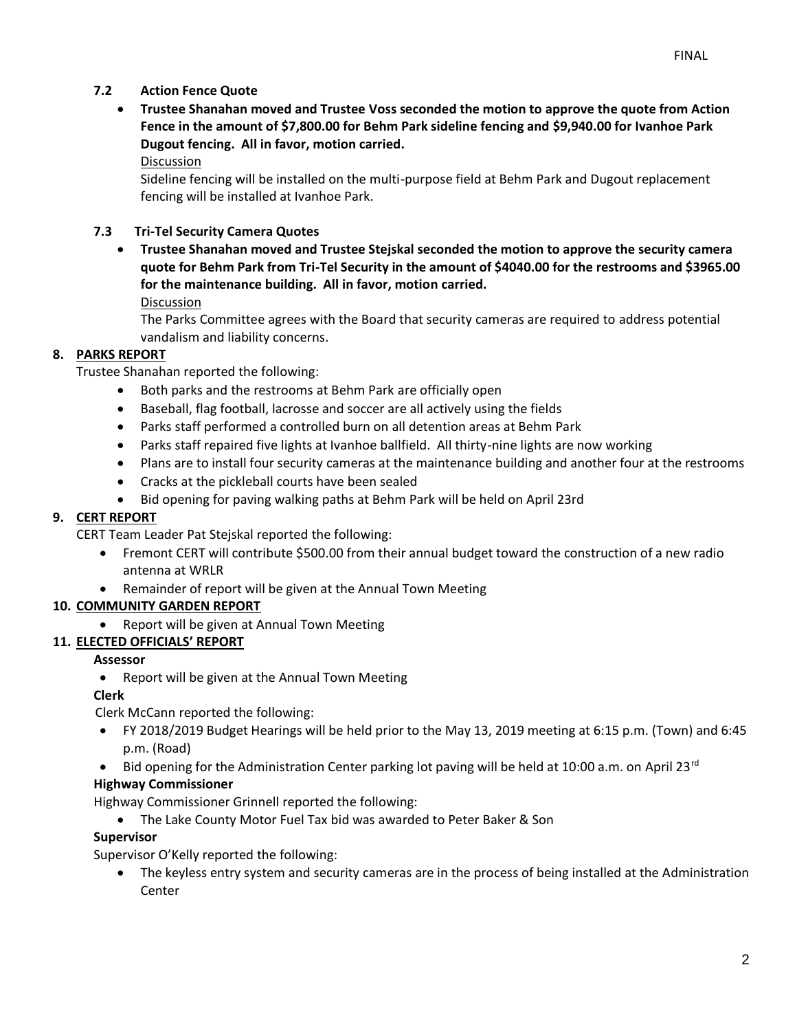## **7.2 Action Fence Quote**

# • **Trustee Shanahan moved and Trustee Voss seconded the motion to approve the quote from Action Fence in the amount of \$7,800.00 for Behm Park sideline fencing and \$9,940.00 for Ivanhoe Park Dugout fencing. All in favor, motion carried.**

#### **Discussion**

Sideline fencing will be installed on the multi-purpose field at Behm Park and Dugout replacement fencing will be installed at Ivanhoe Park.

### **7.3 Tri-Tel Security Camera Quotes**

• **Trustee Shanahan moved and Trustee Stejskal seconded the motion to approve the security camera quote for Behm Park from Tri-Tel Security in the amount of \$4040.00 for the restrooms and \$3965.00 for the maintenance building. All in favor, motion carried.** 

#### Discussion

The Parks Committee agrees with the Board that security cameras are required to address potential vandalism and liability concerns.

#### **8. PARKS REPORT**

Trustee Shanahan reported the following:

- Both parks and the restrooms at Behm Park are officially open
- Baseball, flag football, lacrosse and soccer are all actively using the fields
- Parks staff performed a controlled burn on all detention areas at Behm Park
- Parks staff repaired five lights at Ivanhoe ballfield. All thirty-nine lights are now working
- Plans are to install four security cameras at the maintenance building and another four at the restrooms
- Cracks at the pickleball courts have been sealed
- Bid opening for paving walking paths at Behm Park will be held on April 23rd

### **9. CERT REPORT**

CERT Team Leader Pat Stejskal reported the following:

- Fremont CERT will contribute \$500.00 from their annual budget toward the construction of a new radio antenna at WRLR
- Remainder of report will be given at the Annual Town Meeting

# **10. COMMUNITY GARDEN REPORT**

• Report will be given at Annual Town Meeting

#### **11. ELECTED OFFICIALS' REPORT**

#### **Assessor**

• Report will be given at the Annual Town Meeting

#### **Clerk**

Clerk McCann reported the following:

- FY 2018/2019 Budget Hearings will be held prior to the May 13, 2019 meeting at 6:15 p.m. (Town) and 6:45 p.m. (Road)
- Bid opening for the Administration Center parking lot paving will be held at 10:00 a.m. on April 23 $^{\text{rd}}$

#### **Highway Commissioner**

Highway Commissioner Grinnell reported the following:

• The Lake County Motor Fuel Tax bid was awarded to Peter Baker & Son

#### **Supervisor**

Supervisor O'Kelly reported the following:

• The keyless entry system and security cameras are in the process of being installed at the Administration Center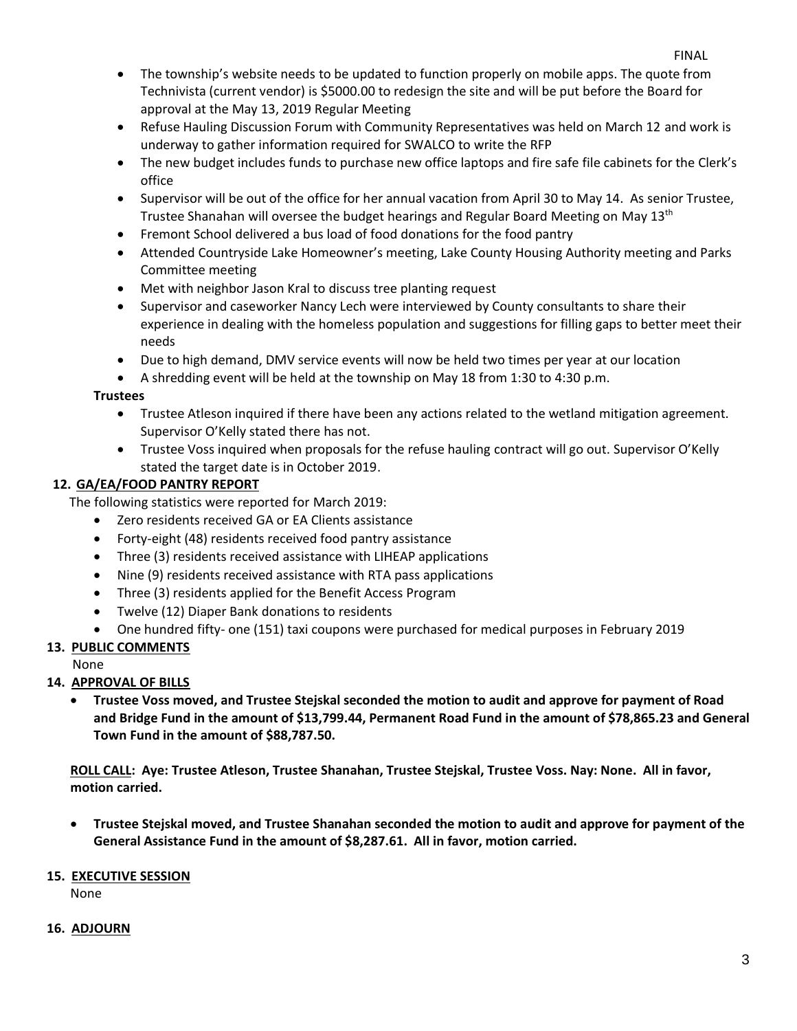- The township's website needs to be updated to function properly on mobile apps. The quote from Technivista (current vendor) is \$5000.00 to redesign the site and will be put before the Board for approval at the May 13, 2019 Regular Meeting
- Refuse Hauling Discussion Forum with Community Representatives was held on March 12 and work is underway to gather information required for SWALCO to write the RFP
- The new budget includes funds to purchase new office laptops and fire safe file cabinets for the Clerk's office
- Supervisor will be out of the office for her annual vacation from April 30 to May 14. As senior Trustee, Trustee Shanahan will oversee the budget hearings and Regular Board Meeting on May 13<sup>th</sup>
- Fremont School delivered a bus load of food donations for the food pantry
- Attended Countryside Lake Homeowner's meeting, Lake County Housing Authority meeting and Parks Committee meeting
- Met with neighbor Jason Kral to discuss tree planting request
- Supervisor and caseworker Nancy Lech were interviewed by County consultants to share their experience in dealing with the homeless population and suggestions for filling gaps to better meet their needs
- Due to high demand, DMV service events will now be held two times per year at our location
- A shredding event will be held at the township on May 18 from 1:30 to 4:30 p.m.

## **Trustees**

- Trustee Atleson inquired if there have been any actions related to the wetland mitigation agreement. Supervisor O'Kelly stated there has not.
- Trustee Voss inquired when proposals for the refuse hauling contract will go out. Supervisor O'Kelly stated the target date is in October 2019.

## **12. GA/EA/FOOD PANTRY REPORT**

The following statistics were reported for March 2019:

- Zero residents received GA or EA Clients assistance
- Forty-eight (48) residents received food pantry assistance
- Three (3) residents received assistance with LIHEAP applications
- Nine (9) residents received assistance with RTA pass applications
- Three (3) residents applied for the Benefit Access Program
- Twelve (12) Diaper Bank donations to residents
- One hundred fifty- one (151) taxi coupons were purchased for medical purposes in February 2019

# **13. PUBLIC COMMENTS**

None

# **14. APPROVAL OF BILLS**

• **Trustee Voss moved, and Trustee Stejskal seconded the motion to audit and approve for payment of Road and Bridge Fund in the amount of \$13,799.44, Permanent Road Fund in the amount of \$78,865.23 and General Town Fund in the amount of \$88,787.50.**

**ROLL CALL: Aye: Trustee Atleson, Trustee Shanahan, Trustee Stejskal, Trustee Voss. Nay: None. All in favor, motion carried.**

• **Trustee Stejskal moved, and Trustee Shanahan seconded the motion to audit and approve for payment of the General Assistance Fund in the amount of \$8,287.61. All in favor, motion carried.**

#### **15. EXECUTIVE SESSION**

None

#### **16. ADJOURN**